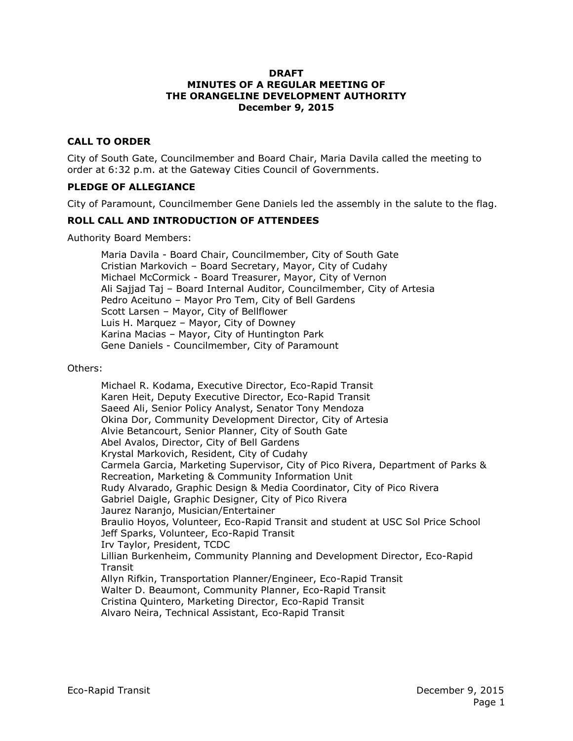#### **DRAFT MINUTES OF A REGULAR MEETING OF THE ORANGELINE DEVELOPMENT AUTHORITY December 9, 2015**

### **CALL TO ORDER**

City of South Gate, Councilmember and Board Chair, Maria Davila called the meeting to order at 6:32 p.m. at the Gateway Cities Council of Governments.

#### **PLEDGE OF ALLEGIANCE**

City of Paramount, Councilmember Gene Daniels led the assembly in the salute to the flag.

#### **ROLL CALL AND INTRODUCTION OF ATTENDEES**

Authority Board Members:

Maria Davila - Board Chair, Councilmember, City of South Gate Cristian Markovich – Board Secretary, Mayor, City of Cudahy Michael McCormick - Board Treasurer, Mayor, City of Vernon Ali Sajjad Taj – Board Internal Auditor, Councilmember, City of Artesia Pedro Aceituno – Mayor Pro Tem, City of Bell Gardens Scott Larsen – Mayor, City of Bellflower Luis H. Marquez – Mayor, City of Downey Karina Macias – Mayor, City of Huntington Park Gene Daniels - Councilmember, City of Paramount

Others:

Michael R. Kodama, Executive Director, Eco-Rapid Transit Karen Heit, Deputy Executive Director, Eco-Rapid Transit Saeed Ali, Senior Policy Analyst, Senator Tony Mendoza Okina Dor, Community Development Director, City of Artesia Alvie Betancourt, Senior Planner, City of South Gate Abel Avalos, Director, City of Bell Gardens Krystal Markovich, Resident, City of Cudahy Carmela Garcia, Marketing Supervisor, City of Pico Rivera, Department of Parks & Recreation, Marketing & Community Information Unit Rudy Alvarado, Graphic Design & Media Coordinator, City of Pico Rivera Gabriel Daigle, Graphic Designer, City of Pico Rivera Jaurez Naranjo, Musician/Entertainer Braulio Hoyos, Volunteer, Eco-Rapid Transit and student at USC Sol Price School Jeff Sparks, Volunteer, Eco-Rapid Transit Irv Taylor, President, TCDC Lillian Burkenheim, Community Planning and Development Director, Eco-Rapid Transit Allyn Rifkin, Transportation Planner/Engineer, Eco-Rapid Transit Walter D. Beaumont, Community Planner, Eco-Rapid Transit Cristina Quintero, Marketing Director, Eco-Rapid Transit Alvaro Neira, Technical Assistant, Eco-Rapid Transit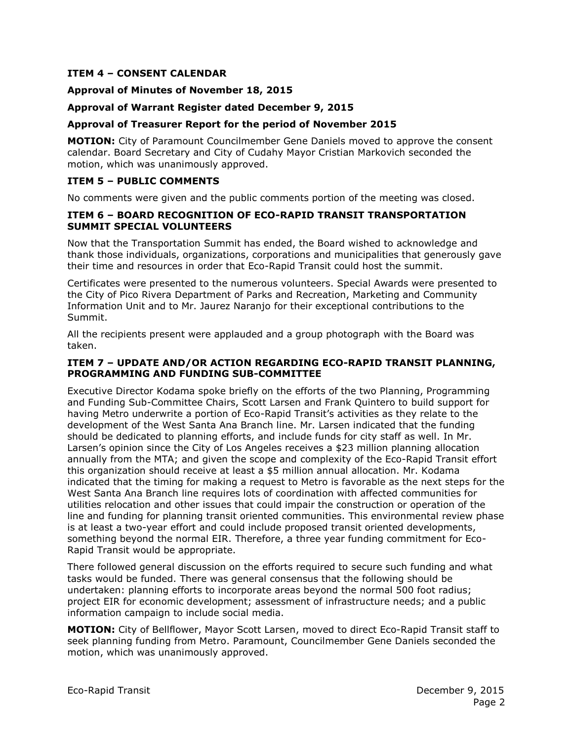#### **ITEM 4 – CONSENT CALENDAR**

#### **Approval of Minutes of November 18, 2015**

#### **Approval of Warrant Register dated December 9, 2015**

#### **Approval of Treasurer Report for the period of November 2015**

**MOTION:** City of Paramount Councilmember Gene Daniels moved to approve the consent calendar. Board Secretary and City of Cudahy Mayor Cristian Markovich seconded the motion, which was unanimously approved.

#### **ITEM 5 – PUBLIC COMMENTS**

No comments were given and the public comments portion of the meeting was closed.

#### **ITEM 6 – BOARD RECOGNITION OF ECO-RAPID TRANSIT TRANSPORTATION SUMMIT SPECIAL VOLUNTEERS**

Now that the Transportation Summit has ended, the Board wished to acknowledge and thank those individuals, organizations, corporations and municipalities that generously gave their time and resources in order that Eco-Rapid Transit could host the summit.

Certificates were presented to the numerous volunteers. Special Awards were presented to the City of Pico Rivera Department of Parks and Recreation, Marketing and Community Information Unit and to Mr. Jaurez Naranjo for their exceptional contributions to the Summit.

All the recipients present were applauded and a group photograph with the Board was taken.

#### **ITEM 7 – UPDATE AND/OR ACTION REGARDING ECO-RAPID TRANSIT PLANNING, PROGRAMMING AND FUNDING SUB-COMMITTEE**

Executive Director Kodama spoke briefly on the efforts of the two Planning, Programming and Funding Sub-Committee Chairs, Scott Larsen and Frank Quintero to build support for having Metro underwrite a portion of Eco-Rapid Transit's activities as they relate to the development of the West Santa Ana Branch line. Mr. Larsen indicated that the funding should be dedicated to planning efforts, and include funds for city staff as well. In Mr. Larsen's opinion since the City of Los Angeles receives a \$23 million planning allocation annually from the MTA; and given the scope and complexity of the Eco-Rapid Transit effort this organization should receive at least a \$5 million annual allocation. Mr. Kodama indicated that the timing for making a request to Metro is favorable as the next steps for the West Santa Ana Branch line requires lots of coordination with affected communities for utilities relocation and other issues that could impair the construction or operation of the line and funding for planning transit oriented communities. This environmental review phase is at least a two-year effort and could include proposed transit oriented developments, something beyond the normal EIR. Therefore, a three year funding commitment for Eco-Rapid Transit would be appropriate.

There followed general discussion on the efforts required to secure such funding and what tasks would be funded. There was general consensus that the following should be undertaken: planning efforts to incorporate areas beyond the normal 500 foot radius; project EIR for economic development; assessment of infrastructure needs; and a public information campaign to include social media.

**MOTION:** City of Bellflower, Mayor Scott Larsen, moved to direct Eco-Rapid Transit staff to seek planning funding from Metro. Paramount, Councilmember Gene Daniels seconded the motion, which was unanimously approved.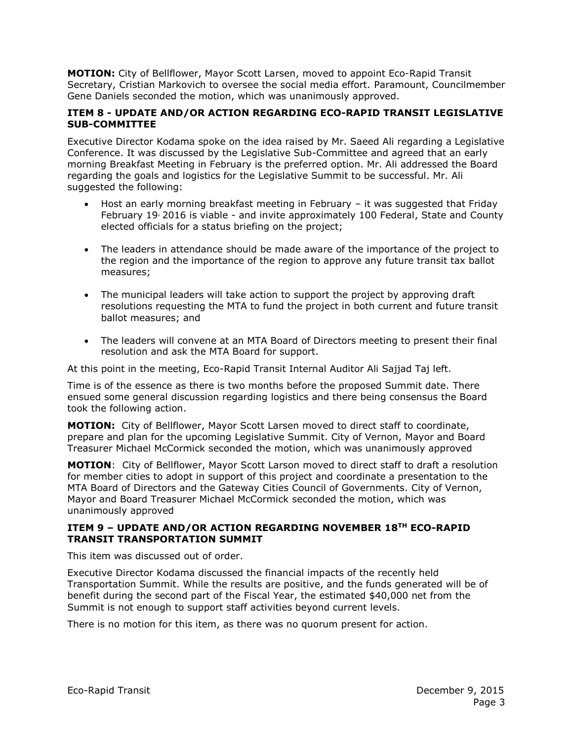**MOTION:** City of Bellflower, Mayor Scott Larsen, moved to appoint Eco-Rapid Transit Secretary, Cristian Markovich to oversee the social media effort. Paramount, Councilmember Gene Daniels seconded the motion, which was unanimously approved.

#### **ITEM 8 - UPDATE AND/OR ACTION REGARDING ECO-RAPID TRANSIT LEGISLATIVE SUB-COMMITTEE**

Executive Director Kodama spoke on the idea raised by Mr. Saeed Ali regarding a Legislative Conference. It was discussed by the Legislative Sub-Committee and agreed that an early morning Breakfast Meeting in February is the preferred option. Mr. Ali addressed the Board regarding the goals and logistics for the Legislative Summit to be successful. Mr. Ali suggested the following:

- Host an early morning breakfast meeting in February it was suggested that Friday February 19<sup>,</sup> 2016 is viable - and invite approximately 100 Federal, State and County elected officials for a status briefing on the project;
- The leaders in attendance should be made aware of the importance of the project to the region and the importance of the region to approve any future transit tax ballot measures;
- The municipal leaders will take action to support the project by approving draft resolutions requesting the MTA to fund the project in both current and future transit ballot measures; and
- The leaders will convene at an MTA Board of Directors meeting to present their final resolution and ask the MTA Board for support.

At this point in the meeting, Eco-Rapid Transit Internal Auditor Ali Sajjad Taj left.

Time is of the essence as there is two months before the proposed Summit date. There ensued some general discussion regarding logistics and there being consensus the Board took the following action.

**MOTION:** City of Bellflower, Mayor Scott Larsen moved to direct staff to coordinate, prepare and plan for the upcoming Legislative Summit. City of Vernon, Mayor and Board Treasurer Michael McCormick seconded the motion, which was unanimously approved

**MOTION**: City of Bellflower, Mayor Scott Larson moved to direct staff to draft a resolution for member cities to adopt in support of this project and coordinate a presentation to the MTA Board of Directors and the Gateway Cities Council of Governments. City of Vernon, Mayor and Board Treasurer Michael McCormick seconded the motion, which was unanimously approved

#### **ITEM 9 – UPDATE AND/OR ACTION REGARDING NOVEMBER 18TH ECO-RAPID TRANSIT TRANSPORTATION SUMMIT**

This item was discussed out of order.

Executive Director Kodama discussed the financial impacts of the recently held Transportation Summit. While the results are positive, and the funds generated will be of benefit during the second part of the Fiscal Year, the estimated \$40,000 net from the Summit is not enough to support staff activities beyond current levels.

There is no motion for this item, as there was no quorum present for action.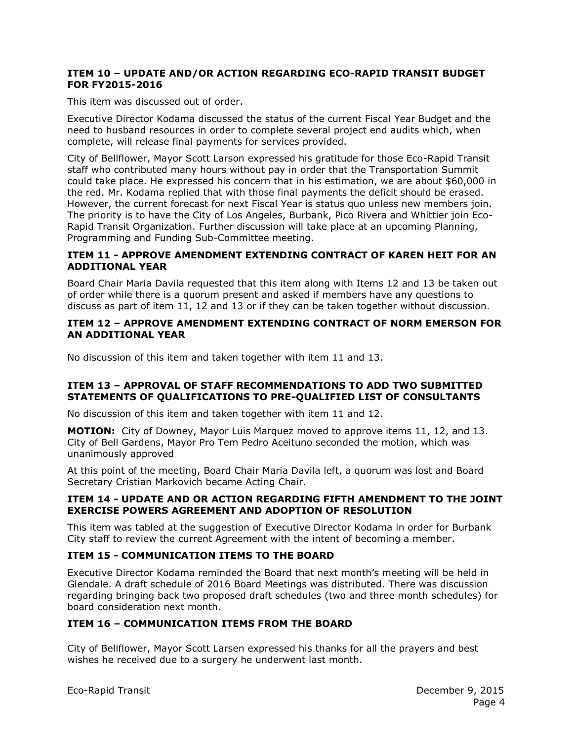#### **ITEM 10 – UPDATE AND/OR ACTION REGARDING ECO-RAPID TRANSIT BUDGET FOR FY2015-2016**

This item was discussed out of order.

Executive Director Kodama discussed the status of the current Fiscal Year Budget and the need to husband resources in order to complete several project end audits which, when complete, will release final payments for services provided.

City of Bellflower, Mayor Scott Larson expressed his gratitude for those Eco-Rapid Transit staff who contributed many hours without pay in order that the Transportation Summit could take place. He expressed his concern that in his estimation, we are about \$60,000 in the red. Mr. Kodama replied that with those final payments the deficit should be erased. However, the current forecast for next Fiscal Year is status quo unless new members join. The priority is to have the City of Los Angeles, Burbank, Pico Rivera and Whittier join Eco-Rapid Transit Organization. Further discussion will take place at an upcoming Planning, Programming and Funding Sub-Committee meeting.

#### **ITEM 11 - APPROVE AMENDMENT EXTENDING CONTRACT OF KAREN HEIT FOR AN ADDITIONAL YEAR**

Board Chair Maria Davila requested that this item along with Items 12 and 13 be taken out of order while there is a quorum present and asked if members have any questions to discuss as part of item 11, 12 and 13 or if they can be taken together without discussion.

#### **ITEM 12 – APPROVE AMENDMENT EXTENDING CONTRACT OF NORM EMERSON FOR AN ADDITIONAL YEAR**

No discussion of this item and taken together with item 11 and 13.

### **ITEM 13 – APPROVAL OF STAFF RECOMMENDATIONS TO ADD TWO SUBMITTED STATEMENTS OF QUALIFICATIONS TO PRE-QUALIFIED LIST OF CONSULTANTS**

No discussion of this item and taken together with item 11 and 12.

**MOTION:** City of Downey, Mayor Luis Marquez moved to approve items 11, 12, and 13. City of Bell Gardens, Mayor Pro Tem Pedro Aceituno seconded the motion, which was unanimously approved

At this point of the meeting, Board Chair Maria Davila left, a quorum was lost and Board Secretary Cristian Markovich became Acting Chair.

### **ITEM 14 - UPDATE AND OR ACTION REGARDING FIFTH AMENDMENT TO THE JOINT EXERCISE POWERS AGREEMENT AND ADOPTION OF RESOLUTION**

This item was tabled at the suggestion of Executive Director Kodama in order for Burbank City staff to review the current Agreement with the intent of becoming a member.

## **ITEM 15 - COMMUNICATION ITEMS TO THE BOARD**

Executive Director Kodama reminded the Board that next month's meeting will be held in Glendale. A draft schedule of 2016 Board Meetings was distributed. There was discussion regarding bringing back two proposed draft schedules (two and three month schedules) for board consideration next month.

### **ITEM 16 – COMMUNICATION ITEMS FROM THE BOARD**

City of Bellflower, Mayor Scott Larsen expressed his thanks for all the prayers and best wishes he received due to a surgery he underwent last month.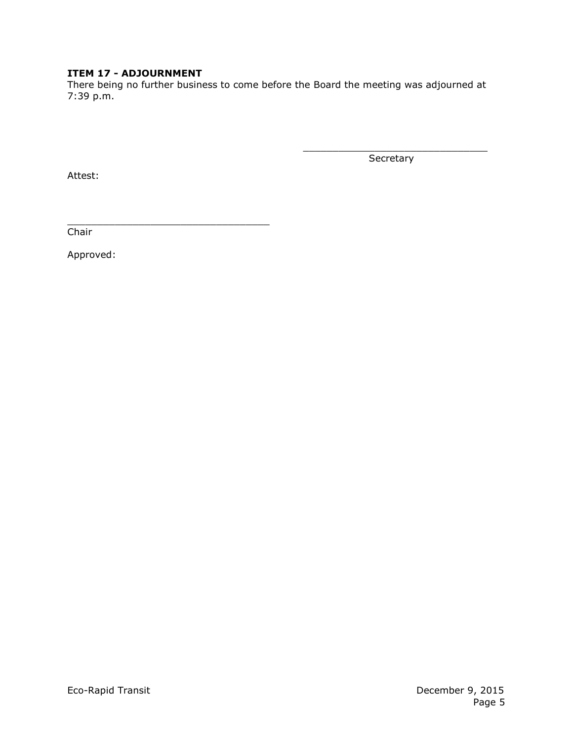# **ITEM 17 - ADJOURNMENT**

There being no further business to come before the Board the meeting was adjourned at 7:39 p.m.

Secretary

\_\_\_\_\_\_\_\_\_\_\_\_\_\_\_\_\_\_\_\_\_\_\_\_\_\_\_\_\_\_\_

Attest:

\_\_\_\_\_\_\_\_\_\_\_\_\_\_\_\_\_\_\_\_\_\_\_\_\_\_\_\_\_\_\_\_\_\_ Chair

Approved: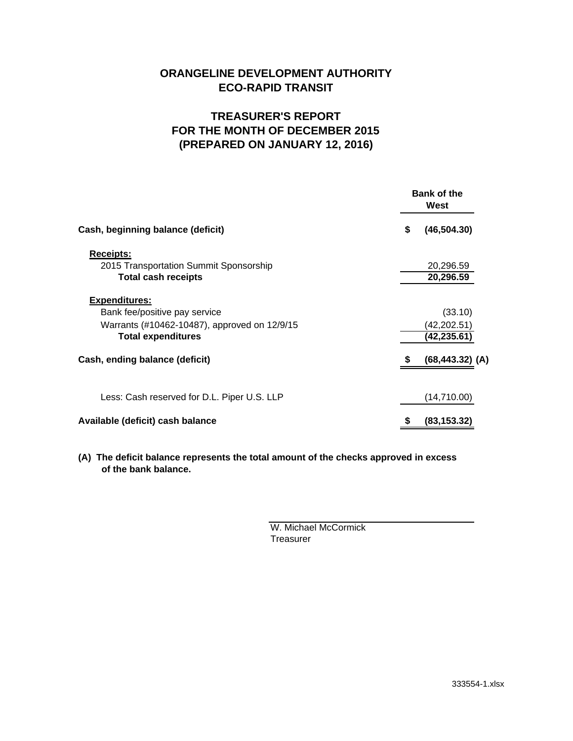# **ORANGELINE DEVELOPMENT AUTHORITY ECO-RAPID TRANSIT**

# **TREASURER'S REPORT FOR THE MONTH OF DECEMBER 2015 (PREPARED ON JANUARY 12, 2016)**

|                                              | <b>Bank of the</b><br>West |                    |  |
|----------------------------------------------|----------------------------|--------------------|--|
| Cash, beginning balance (deficit)            | \$                         | (46, 504.30)       |  |
| <b>Receipts:</b>                             |                            |                    |  |
| 2015 Transportation Summit Sponsorship       |                            | 20,296.59          |  |
| <b>Total cash receipts</b>                   |                            | 20,296.59          |  |
| <b>Expenditures:</b>                         |                            |                    |  |
| Bank fee/positive pay service                |                            | (33.10)            |  |
| Warrants (#10462-10487), approved on 12/9/15 |                            | (42,202.51)        |  |
| <b>Total expenditures</b>                    |                            | (42,235.61)        |  |
| Cash, ending balance (deficit)               | S                          | $(68, 443.32)$ (A) |  |
| Less: Cash reserved for D.L. Piper U.S. LLP  |                            | (14,710.00)        |  |
| Available (deficit) cash balance             | \$                         | (83, 153.32)       |  |

**(A) The deficit balance represents the total amount of the checks approved in excess of the bank balance.**

> W. Michael McCormick **Treasurer**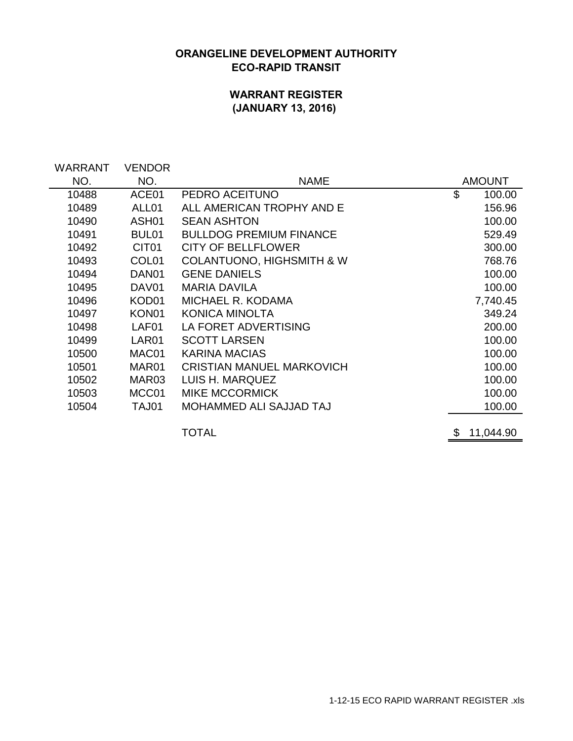# **ORANGELINE DEVELOPMENT AUTHORITY ECO-RAPID TRANSIT**

# **WARRANT REGISTER (JANUARY 13, 2016)**

| WARRANT<br>NO. | <b>VENDOR</b><br>NO. | <b>NAME</b>                          | <b>AMOUNT</b>   |
|----------------|----------------------|--------------------------------------|-----------------|
| 10488          | ACE01                | PEDRO ACEITUNO                       | \$<br>100.00    |
| 10489          | ALL01                | ALL AMERICAN TROPHY AND E            | 156.96          |
| 10490          | ASH <sub>01</sub>    | <b>SEAN ASHTON</b>                   | 100.00          |
| 10491          | BUL <sub>01</sub>    | <b>BULLDOG PREMIUM FINANCE</b>       | 529.49          |
| 10492          | CIT <sub>01</sub>    | <b>CITY OF BELLFLOWER</b>            | 300.00          |
| 10493          | COL <sub>01</sub>    | <b>COLANTUONO, HIGHSMITH &amp; W</b> | 768.76          |
| 10494          | DAN <sub>01</sub>    | <b>GENE DANIELS</b>                  | 100.00          |
| 10495          | DAV01                | <b>MARIA DAVILA</b>                  | 100.00          |
| 10496          | KOD01                | MICHAEL R. KODAMA                    | 7,740.45        |
| 10497          | KON <sub>01</sub>    | <b>KONICA MINOLTA</b>                | 349.24          |
| 10498          | LAF01                | LA FORET ADVERTISING                 | 200.00          |
| 10499          | LAR01                | <b>SCOTT LARSEN</b>                  | 100.00          |
| 10500          | MAC01                | <b>KARINA MACIAS</b>                 | 100.00          |
| 10501          | MAR01                | <b>CRISTIAN MANUEL MARKOVICH</b>     | 100.00          |
| 10502          | MAR <sub>03</sub>    | LUIS H. MARQUEZ                      | 100.00          |
| 10503          | MCC01                | <b>MIKE MCCORMICK</b>                | 100.00          |
| 10504          | TAJ01                | MOHAMMED ALI SAJJAD TAJ              | 100.00          |
|                |                      |                                      |                 |
|                |                      | TOTAL                                | \$<br>11,044.90 |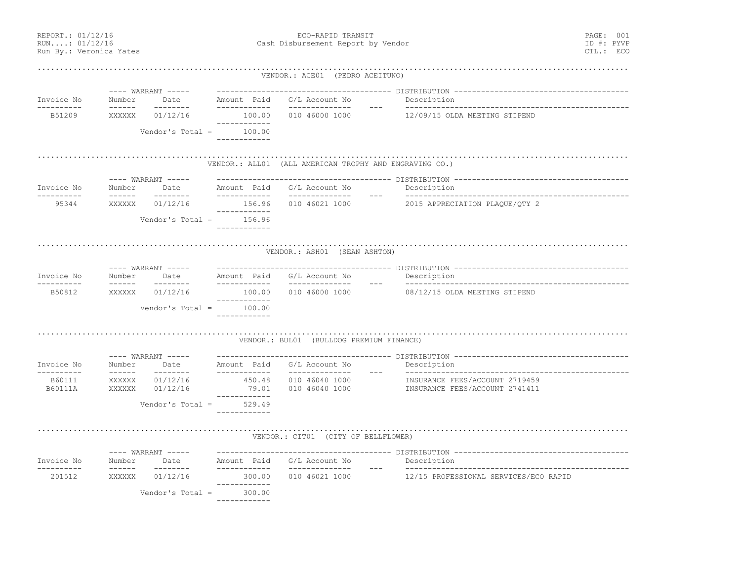REPORT.: 01/12/16 PAGE: 001 RUN....: 01/12/16 Cash Disbursement Report by Vendor ID #: PYVP Run By.: Veronica Yates CTL.: ECO .................................................................................................................................... VENDOR.: ACE01 (PEDRO ACEITUNO) ---- WARRANT ----- --------------------------------------- DISTRIBUTION ---------------------------------------Invoice No Number Date Amount Paid G/L Account No Description ---------- ------ -------- ------------ -------------- --- -------------------------------------------------- B51209 XXXXXX 01/12/16 100.00 010 46000 1000 12/09/15 OLDA MEETING STIPEND ------------ Vendor's Total = 100.00 ------------.................................................................................................................................... VENDOR.: ALL01 (ALL AMERICAN TROPHY AND ENGRAVING CO.) ---- WARRANT ----- --------------------------------------- DISTRIBUTION ---------------------------------------Invoice No Number Date Amount Paid G/L Account No Description ---------- ------ -------- ------------ -------------- --- -------------------------------------------------- 95344 XXXXXX 01/12/16 156.96 010 46021 1000 2015 APPRECIATION PLAQUE/QTY 2 ------------ Vendor's Total = 156.96 ------------.................................................................................................................................... VENDOR.: ASH01 (SEAN ASHTON) ---- WARRANT ----- --------------------------------------- DISTRIBUTION ---------------------------------------Invoice No Number Date Amount Paid G/L Account No Description ---------- ------ -------- ------------ -------------- --- -------------------------------------------------- B50812 XXXXXX 01/12/16 100.00 010 46000 1000 08/12/15 OLDA MEETING STIPEND ------------ Vendor's Total = 100.00 ------------.................................................................................................................................... VENDOR.: BUL01 (BULLDOG PREMIUM FINANCE) ---- WARRANT ----- --------------------------------------- DISTRIBUTION ---------------------------------------Invoice No Number Date Amount Paid G/L Account No Description ---------- ------ -------- ------------ -------------- --- -------------------------------------------------- B60111 XXXXXX 01/12/16 450.48 010 46040 1000 INSURANCE FEES/ACCOUNT 2719459 B60111A XXXXXX 01/12/16 79.01 010 46040 1000 INSURANCE FEES/ACCOUNT 2741411 ------------Vendor's Total = 529.49 ------------.................................................................................................................................... VENDOR.: CIT01 (CITY OF BELLFLOWER) ---- WARRANT ----- --------------------------------------- DISTRIBUTION ---------------------------------------Invoice No Number Date Amount Paid G/L Account No Description ---------- ------ -------- ------------ -------------- --- -------------------------------------------------- 201512 XXXXXX 01/12/16 300.00 010 46021 1000 12/15 PROFESSIONAL SERVICES/ECO RAPID ------------ Vendor's Total = 300.00 ------------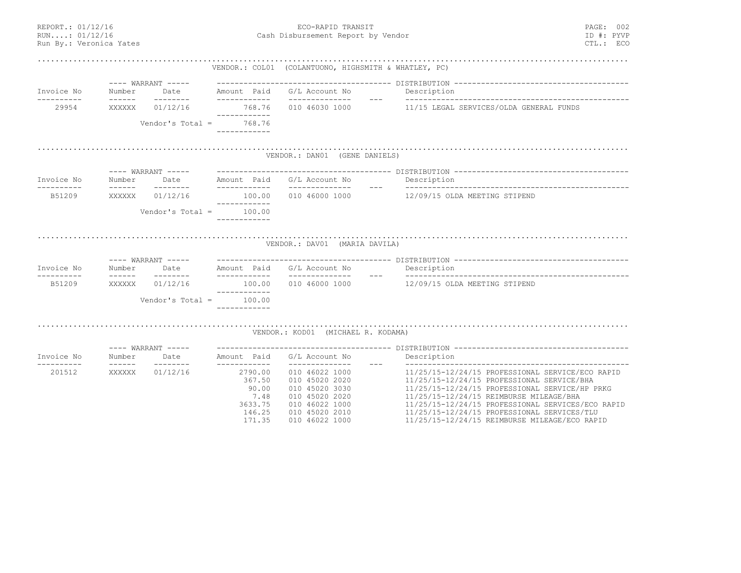| REPORT.: 01/12/16<br>ECO-RAPID TRANSIT<br>RUN: 01/12/16<br>Cash Disbursement Report by Vendor<br>Run By.: Veronica Yates |                           |                            |                                                 | PAGE: 002<br>ID #: PYVF<br>CTL.: ECC                 |                                                                                                  |  |
|--------------------------------------------------------------------------------------------------------------------------|---------------------------|----------------------------|-------------------------------------------------|------------------------------------------------------|--------------------------------------------------------------------------------------------------|--|
|                                                                                                                          |                           |                            |                                                 | VENDOR.: COLO1 (COLANTUONO, HIGHSMITH & WHATLEY, PC) |                                                                                                  |  |
|                                                                                                                          |                           | ---- WARRANT -----         |                                                 |                                                      |                                                                                                  |  |
| Invoice No                                                                                                               | Number                    | ---------                  | Date Amount Paid G/L Account No<br>____________ |                                                      | Description                                                                                      |  |
| ----------<br>29954                                                                                                      | XXXXXX                    | 01/12/16                   | ------------                                    |                                                      | 768.76  010  46030  1000  11/15  LEGAL SERVICES/OLDA GENERAL FUNDS                               |  |
|                                                                                                                          |                           |                            | Vendor's Total = $768.76$<br>------------       |                                                      |                                                                                                  |  |
|                                                                                                                          |                           |                            |                                                 | VENDOR.: DANO1 (GENE DANIELS)                        |                                                                                                  |  |
|                                                                                                                          |                           |                            |                                                 |                                                      |                                                                                                  |  |
| Invoice No                                                                                                               | Number                    |                            |                                                 | Date Mmount Paid G/L Account No                      | Description                                                                                      |  |
| ----------<br>B51209                                                                                                     | $- - - - - - -$<br>XXXXXX | ---------<br>01/12/16      | ______________<br>____________                  | 100.00   010   46000   1000                          | 12/09/15 OLDA MEETING STIPEND                                                                    |  |
|                                                                                                                          |                           | Vendor's Total =           | 100.00<br>------------                          |                                                      |                                                                                                  |  |
|                                                                                                                          |                           |                            |                                                 |                                                      |                                                                                                  |  |
|                                                                                                                          |                           |                            |                                                 | VENDOR.: DAV01 (MARIA DAVILA)                        |                                                                                                  |  |
| Invoice No                                                                                                               | Number                    |                            |                                                 |                                                      |                                                                                                  |  |
| -----------<br>B51209                                                                                                    | $- - - - - -$<br>XXXXXX   | ---------<br>01/12/16      | -------------<br>------------                   | _______________                                      | 100.00  010  46000  1000  12/09/15  OLDA MEETING STIPEND                                         |  |
|                                                                                                                          |                           |                            | Vendor's Total = $100.00$<br>------------       |                                                      |                                                                                                  |  |
|                                                                                                                          |                           |                            |                                                 |                                                      |                                                                                                  |  |
|                                                                                                                          |                           |                            |                                                 | VENDOR.: KOD01 (MICHAEL R. KODAMA)                   |                                                                                                  |  |
| Invoice No                                                                                                               | Number                    | ---- WARRANT -----<br>Date | Amount Paid                                     | G/L Account No                                       | Description                                                                                      |  |
| -----------<br>201512                                                                                                    | $- - - - - - -$<br>XXXXXX | ---------<br>01/12/16      | ------------<br>2790.00<br>367.50               | ---------------<br>010 46022 1000<br>010 45020 2020  | 11/25/15-12/24/15 PROFESSIONAL SERVICE/ECO RAPID<br>11/25/15-12/24/15 PROFESSIONAL SERVICE/BHA   |  |
|                                                                                                                          |                           |                            | 90.00                                           | 010 45020 3030                                       | 11/25/15-12/24/15 PROFESSIONAL SERVICE/HP PRKG                                                   |  |
|                                                                                                                          |                           |                            | 7.48                                            | 010 45020 2020                                       | 11/25/15-12/24/15 REIMBURSE MILEAGE/BHA                                                          |  |
|                                                                                                                          |                           |                            | 3633.75<br>146.25                               | 010 46022 1000<br>010 45020 2010                     | 11/25/15-12/24/15 PROFESSIONAL SERVICES/ECO RAPID<br>11/25/15-12/24/15 PROFESSIONAL SERVICES/TLU |  |
|                                                                                                                          |                           |                            | 171.35                                          | 010 46022 1000                                       | 11/25/15-12/24/15 REIMBURSE MILEAGE/ECO RAPID                                                    |  |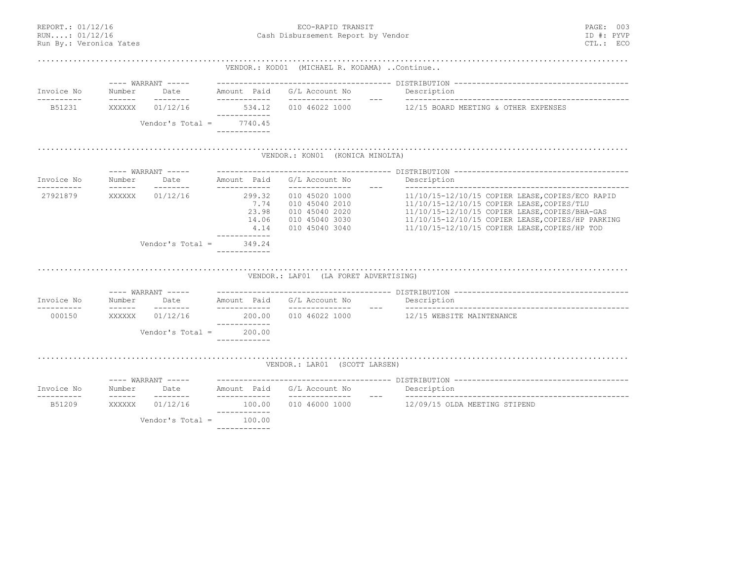| REPORT.: 01/12/16<br>RUN:: 01/12/16<br>Run By.: Veronica Yates |                           |                     |                                                          | Cash Disbursement Report by Vendor                                                     | PAGE: 003<br>ID #: PYVP<br>CTL.: ECC                                                                                                                                                                                                                   |  |
|----------------------------------------------------------------|---------------------------|---------------------|----------------------------------------------------------|----------------------------------------------------------------------------------------|--------------------------------------------------------------------------------------------------------------------------------------------------------------------------------------------------------------------------------------------------------|--|
|                                                                |                           |                     |                                                          | VENDOR.: KOD01 (MICHAEL R. KODAMA)  Continue                                           |                                                                                                                                                                                                                                                        |  |
|                                                                |                           | $---$ WARRANT $---$ |                                                          |                                                                                        |                                                                                                                                                                                                                                                        |  |
| Invoice No<br>-----------                                      | Number<br>$- - - - - - -$ | Date<br>---------   | Amount Paid<br>-------------                             | G/L Account No<br>_______________<br>$\frac{1}{2}$                                     | Description                                                                                                                                                                                                                                            |  |
| B51231                                                         | XXXXXX                    | 01/12/16            | 534.12<br>------------                                   | 010 46022 1000                                                                         | 12/15 BOARD MEETING & OTHER EXPENSES                                                                                                                                                                                                                   |  |
|                                                                |                           | Vendor's Total $=$  | 7740.45<br>------------                                  |                                                                                        |                                                                                                                                                                                                                                                        |  |
|                                                                |                           |                     |                                                          | VENDOR.: KON01 (KONICA MINOLTA)                                                        |                                                                                                                                                                                                                                                        |  |
|                                                                |                           | $---$ WARRANT $---$ |                                                          |                                                                                        |                                                                                                                                                                                                                                                        |  |
| Invoice No                                                     | Number<br>------          | Date<br>---------   | Amount Paid<br>-------------                             | G/L Account No                                                                         | Description                                                                                                                                                                                                                                            |  |
| 27921879                                                       | XXXXXX                    | 01/12/16            | 299.32<br>7.74<br>23.98<br>14.06<br>4.14<br>____________ | 010 45020 1000<br>010 45040 2010<br>010 45040 2020<br>010 45040 3030<br>010 45040 3040 | 11/10/15-12/10/15 COPIER LEASE, COPIES/ECO RAPID<br>11/10/15-12/10/15 COPIER LEASE, COPIES/TLU<br>11/10/15-12/10/15 COPIER LEASE, COPIES/BHA-GAS<br>11/10/15-12/10/15 COPIER LEASE, COPIES/HP PARKING<br>11/10/15-12/10/15 COPIER LEASE, COPIES/HP TOD |  |
|                                                                |                           | Vendor's Total $=$  | 349.24<br>------------                                   |                                                                                        |                                                                                                                                                                                                                                                        |  |
|                                                                |                           |                     |                                                          | VENDOR.: LAFO1 (LA FORET ADVERTISING)                                                  |                                                                                                                                                                                                                                                        |  |
|                                                                |                           | $---$ WARRANT $---$ |                                                          |                                                                                        |                                                                                                                                                                                                                                                        |  |
| Invoice No<br>. _ _ _ _ _ _ _ _ _                              | Number<br>$- - - - - - -$ | Date<br>---------   | _____________                                            | Amount Paid G/L Account No<br>_______________                                          | Description<br>$  -$                                                                                                                                                                                                                                   |  |
| 000150                                                         | XXXXXX                    | 01/12/16            | ------------                                             | 200.00   010   46022   1000                                                            | 12/15 WEBSITE MAINTENANCE                                                                                                                                                                                                                              |  |
|                                                                |                           | Vendor's Total $=$  | 200.00<br>------------                                   |                                                                                        |                                                                                                                                                                                                                                                        |  |
|                                                                |                           |                     |                                                          | VENDOR.: LAR01 (SCOTT LARSEN)                                                          |                                                                                                                                                                                                                                                        |  |
|                                                                |                           | ---- WARRANT -----  |                                                          |                                                                                        |                                                                                                                                                                                                                                                        |  |
| Invoice No                                                     | Number<br>-------         | Date<br>--------    | ------------                                             | Amount Paid G/L Account No<br>$\qquad \qquad - -$                                      | Description                                                                                                                                                                                                                                            |  |
| B51209                                                         | XXXXXX                    | 01/12/16            | 100.00                                                   | 010 46000 1000                                                                         | 12/09/15 OLDA MEETING STIPEND                                                                                                                                                                                                                          |  |
|                                                                |                           | Vendor's Total =    | ------------<br>100.00<br>------------                   |                                                                                        |                                                                                                                                                                                                                                                        |  |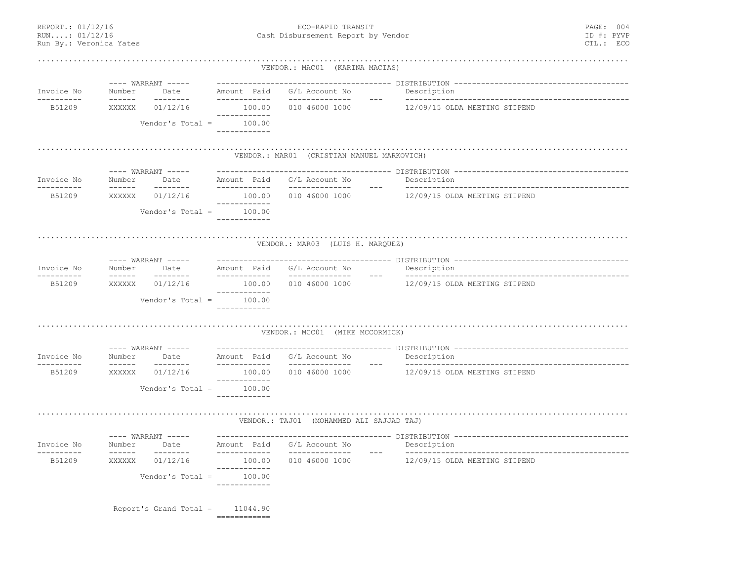REPORT.: 01/12/16 PAGE: 004 RUN....: 01/12/16 Cash Disbursement Report by Vendor ID #: PYVP Run By.: Veronica Yates CTL.: ECO .................................................................................................................................... VENDOR.: MAC01 (KARINA MACIAS) ---- WARRANT ----- --------------------------------------- DISTRIBUTION --------------------------------------- Invoice No Number Date Amount Paid G/L Account No Description ---------- ------ -------- ------------ -------------- --- -------------------------------------------------- B51209 XXXXXX 01/12/16 100.00 010 46000 1000 12/09/15 OLDA MEETING STIPEND ------------Vendor's Total =  $100.00$  ------------.................................................................................................................................... VENDOR.: MAR01 (CRISTIAN MANUEL MARKOVICH) ---- WARRANT ----- --------------------------------------- DISTRIBUTION ---------------------------------------Invoice No Number Date Amount Paid G/L Account No Description ---------- ------ -------- ------------ -------------- --- -------------------------------------------------- B51209 XXXXXX 01/12/16 100.00 010 46000 1000 12/09/15 OLDA MEETING STIPEND ------------Vendor's Total =  $100.00$  ------------.................................................................................................................................... VENDOR.: MAR03 (LUIS H. MARQUEZ) ---- WARRANT ----- --------------------------------------- DISTRIBUTION ---------------------------------------Invoice No Number Date Amount Paid G/L Account No Description ---------- ------ -------- ------------ -------------- --- --------------------------------------------------B51209 XXXXXX 01/12/16 100.00 010 46000 1000 12/09/15 OLDA MEETING STIPEND ------------Vendor's Total = 100.00 ------------.................................................................................................................................... VENDOR.: MCC01 (MIKE MCCORMICK) ---- WARRANT ----- --------------------------------------- DISTRIBUTION --------------------------------------- Invoice No Number Date Amount Paid G/L Account No Description ---------- ------ -------- ------------ -------------- --- -------------------------------------------------- B51209 XXXXXX 01/12/16 100.00 010 46000 1000 12/09/15 OLDA MEETING STIPEND ------------Vendor's Total = 100.00 ------------.................................................................................................................................... VENDOR.: TAJ01 (MOHAMMED ALI SAJJAD TAJ) ---- WARRANT ----- --------------------------------------- DISTRIBUTION ---------------------------------------Invoice No Number Date Amount Paid G/L Account No Description ---------- ------ -------- ------------ -------------- --- -------------------------------------------------- B51209 XXXXXX 01/12/16 100.00 010 46000 1000 12/09/15 OLDA MEETING STIPEND ------------Vendor's Total = ------------ Report's Grand Total = 11044.90 ============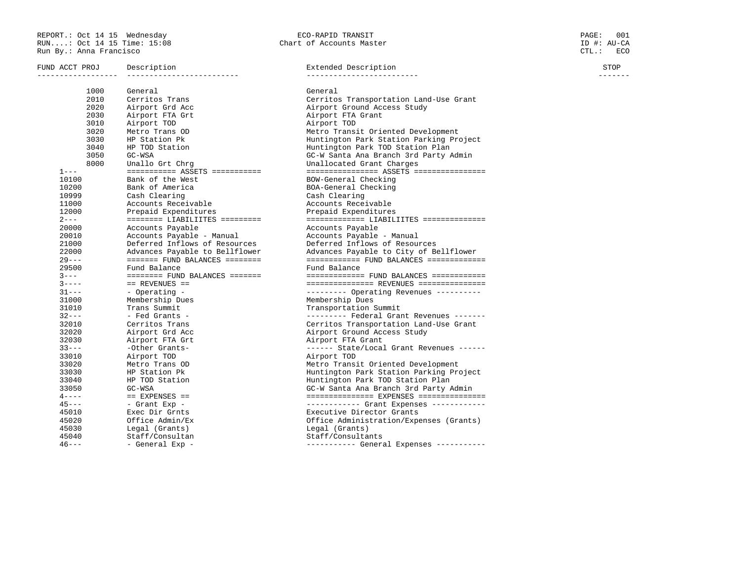REPORT.: Oct 14 15 Wednesday ECO-RAPID TRANSIT PAGE: 001 RUN....: Oct 14 15 Time: 15:08 Chart of Accounts Master ID #: AU-CA Run By.: Anna Francisco CTL.: ECO

FUND ACCT PROJ Description STOP Extended Description COVID-1000 STOP

------------------ ------------------------- ------------------------- ------- 1000 General General 2010 Cerritos Trans Cerritos Transportation Land-Use Grant 2020 Airport Grd Acc Airport Ground Access Study 2030 Airport FTA Grt Airport FTA Grant 3010 Airport TOD Airport TOD 3020 Metro Trans OD Metro Transit Oriented Development 3030 HP Station Pk Huntington Park Station Parking Project 3040 HP TOD Station Huntington Park TOD Station Plan 3050 GC-WSA GC-W Santa Ana Branch 3rd Party Admin 8000 Unallo Grt Chrg Unallocated Grant Charges 1--- =========== ASSETS =========== ================ ASSETS ================ 10100 Bank of the West BOW-General Checking 10200 Bank of America BOA-General Checking 10999 Cash Clearing Cash Clearing 11000 Accounts Receivable Accounts Receivable 12000 Prepaid Expenditures Prepaid Expenditures 2--- ======== LIABILIITES ========= ============= LIABILIITES ============== 20000 Accounts Payable Accounts Payable 20010 Accounts Payable - Manual<br>
21000 Deferred Inflows of Resources<br>
22000 Advances Payable to Bellflower Advances Payable to City of Bellflower<br>
29--- ======== FUND BALANCES ========<br>
29500 Fund Balance Payable to City o 31000 Membership Dues Membership Dues 31010 Trans Summit Transportation Summit 32--- - Fed Grants - --------- Federal Grant Revenues ------- 32010 Cerritos Trans Cerritos Transportation Land-Use Grant 32020 Airport Grd Acc Airport Ground Access Study 32030 Airport FTA Grt Airport FTA Grant 33--- -Other Grants- ------ State/Local Grant Revenues ------ 33010 Airport TOD Airport TOD 33020 Metro Trans OD Metro Transit Oriented Development 33030 HP Station Pk Huntington Park Station Parking Project 33040 HP TOD Station Huntington Park TOD Station Plan 33050 GC-WSA GC-W Santa Ana Branch 3rd Party Admin 4---- == EXPENSES == =============== EXPENSES =============== 45--- - Grant Exp - ------------ Grant Expenses ------------ 45010 Exec Dir Grnts Executive Director Grants 45020 Office Admin/Ex Office Administration/Expenses (Grants) 45030 Legal (Grants) Legal (Grants) 45040 Staff/Consultan Staff/Consultants 46--- - General Exp - ----------- General Expenses -----------